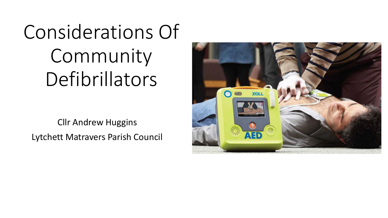# Considerations Of Community Defibrillators

Cllr Andrew Huggins Lytchett Matravers Parish Council

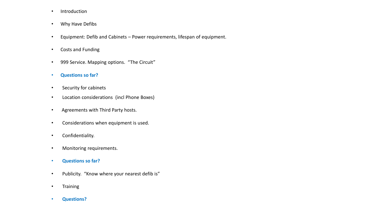- Introduction
- Why Have Defibs
- Equipment: Defib and Cabinets Power requirements, lifespan of equipment.
- Costs and Funding
- 999 Service. Mapping options. "The Circuit"
- **Questions so far?**
- Security for cabinets
- Location considerations (incl Phone Boxes)
- Agreements with Third Party hosts.
- Considerations when equipment is used.
- Confidentiality.
- Monitoring requirements.
- **Questions so far?**
- Publicity. "Know where your nearest defib is"
- Training
- **Questions?**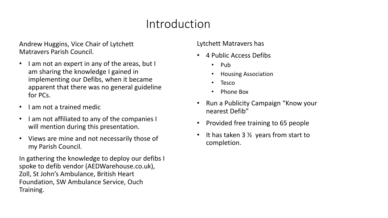### Introduction

Andrew Huggins, Vice Chair of Lytchett Matravers Parish Council.

- I am not an expert in any of the areas, but I am sharing the knowledge I gained in implementing our Defibs, when it became apparent that there was no general guideline for PCs.
- I am not a trained medic
- I am not affiliated to any of the companies I will mention during this presentation.
- Views are mine and not necessarily those of my Parish Council.

In gathering the knowledge to deploy our defibs I spoke to defib vendor (AEDWarehouse.co.uk), Zoll, St John's Ambulance, British Heart Foundation, SW Ambulance Service, Ouch Training.

#### Lytchett Matravers has

- 4 Public Access Defibs
	- Pub
	- Housing Association
	- **Tesco**
	- Phone Box
- Run a Publicity Campaign "Know your nearest Defib"
- Provided free training to 65 people
- It has taken 3  $\frac{1}{2}$  years from start to completion.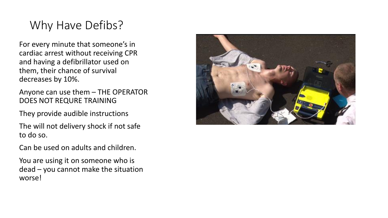# Why Have Defibs?

For every minute that someone's in cardiac arrest without receiving CPR and having a defibrillator used on them, their chance of survival decreases by 10%.

Anyone can use them – THE OPERATOR DOES NOT REQURE TRAINING

They provide audible instructions

The will not delivery shock if not safe to do so.

Can be used on adults and children.

You are using it on someone who is dead – you cannot make the situation worse!

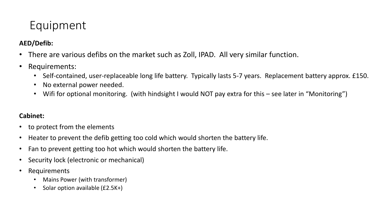# Equipment

#### **AED/Defib:**

- There are various defibs on the market such as Zoll, IPAD. All very similar function.
- Requirements:
	- Self-contained, user-replaceable long life battery. Typically lasts 5-7 years. Replacement battery approx. £150.
	- No external power needed.
	- Wifi for optional monitoring. (with hindsight I would NOT pay extra for this see later in "Monitoring")

#### **Cabinet:**

- to protect from the elements
- Heater to prevent the defib getting too cold which would shorten the battery life.
- Fan to prevent getting too hot which would shorten the battery life.
- Security lock (electronic or mechanical)
- Requirements
	- Mains Power (with transformer)
	- Solar option available (£2.5K+)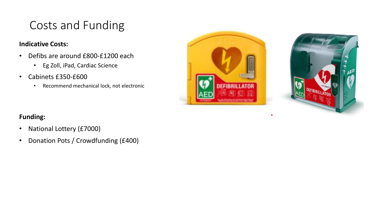# Costs and Funding

#### **Indicative Costs:**

- Defibs are around £800-£1200 each
	- Eg Zoll, iPad, Cardiac Science
- Cabinets £350-£600
	- Recommend mechanical lock, not electronic



#### **Funding:**

- National Lottery (£7000)
- Donation Pots / Crowdfunding (£400)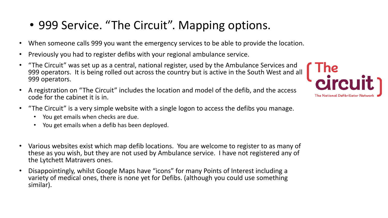# • 999 Service. "The Circuit". Mapping options.

- When someone calls 999 you want the emergency services to be able to provide the location.
- Previously you had to register defibs with your regional ambulance service.
- "The Circuit" was set up as a central, national register, used by the Ambulance Services and 999 operators. It is being rolled out across the country but is active in the South West and all 999 operators.
- A registration on "The Circuit" includes the location and model of the defib, and the access code for the cabinet it is in.
- "The Circuit" is a very simple website with a single logon to access the defibs you manage.
	- You get emails when checks are due.
	- You get emails when a defib has been deployed.
- Various websites exist which map defib locations. You are welcome to register to as many of these as you wish, but they are not used by Ambulance service. I have not registered any of the Lytchett Matravers ones.
- Disappointingly, whilst Google Maps have "icons" for many Points of Interest including a variety of medical ones, there is none yet for Defibs. (although you could use something similar).

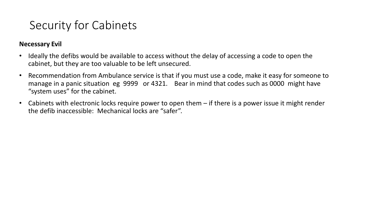### Security for Cabinets

#### **Necessary Evil**

- Ideally the defibs would be available to access without the delay of accessing a code to open the cabinet, but they are too valuable to be left unsecured.
- Recommendation from Ambulance service is that if you must use a code, make it easy for someone to manage in a panic situation eg 9999 or 4321. Bear in mind that codes such as 0000 might have "system uses" for the cabinet.
- Cabinets with electronic locks require power to open them if there is a power issue it might render the defib inaccessible: Mechanical locks are "safer".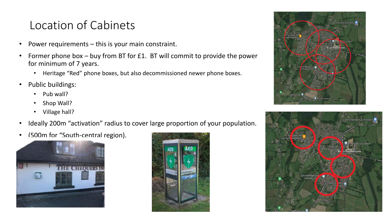### Location of Cabinets

- Power requirements  $-$  this is your main constraint.
- Former phone box buy from BT for £1. BT will commit to provide the power for minimum of 7 years.
	- Heritage "Red" phone boxes, but also decommissioned newer phone boxes.
- Public buildings:
	- Pub wall?
	- Shop Wall?
	- Village hall?
- Ideally 200m "activation" radius to cover large proportion of your population.
- (500m for "South-central region).







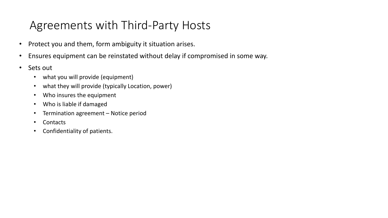### Agreements with Third-Party Hosts

- Protect you and them, form ambiguity it situation arises.
- Ensures equipment can be reinstated without delay if compromised in some way.
- Sets out
	- what you will provide (equipment)
	- what they will provide (typically Location, power)
	- Who insures the equipment
	- Who is liable if damaged
	- Termination agreement Notice period
	- Contacts
	- Confidentiality of patients.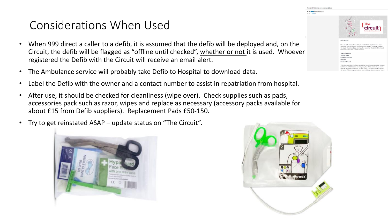### Considerations When Used

- When 999 direct a caller to a defib, it is assumed that the defib will be deployed and, on the Circuit, the defib will be flagged as "offline until checked", whether or not it is used. Whoever registered the Defib with the Circuit will receive an email alert.
- The Ambulance service will probably take Defib to Hospital to download data.
- Label the Defib with the owner and a contact number to assist in repatriation from hospital.
- After use, it should be checked for cleanliness (wipe over). Check supplies such as pads, accessories pack such as razor, wipes and replace as necessary (accessory packs available for about £15 from Defib suppliers). Replacement Pads £50-150.
- Try to get reinstated ASAP update status on "The Circuit".







and your defibrillator record has been updated on 09 Jan 2022 the West Ambulance Service. The record for the de

tchett Matraver BH16 6BJ Front wall of put

tch the defibrillator in an emergency, but this does not alway<br>the defibrillator was used. In some cases, a defibrillator is br<br>cene of the emergency but not used and then returned. In ot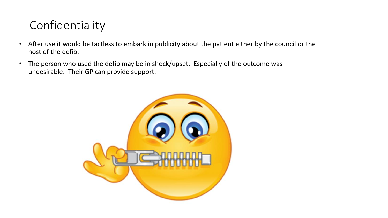# Confidentiality

- After use it would be tactless to embark in publicity about the patient either by the council or the host of the defib.
- The person who used the defib may be in shock/upset. Especially of the outcome was undesirable. Their GP can provide support.

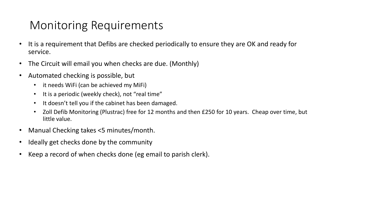### Monitoring Requirements

- It is a requirement that Defibs are checked periodically to ensure they are OK and ready for service.
- The Circuit will email you when checks are due. (Monthly)
- Automated checking is possible, but
	- it needs WiFi (can be achieved my MiFi)
	- It is a periodic (weekly check), not "real time"
	- It doesn't tell you if the cabinet has been damaged.
	- Zoll Defib Monitoring (Plustrac) free for 12 months and then £250 for 10 years. Cheap over time, but little value.
- Manual Checking takes <5 minutes/month.
- Ideally get checks done by the community
- Keep a record of when checks done (eg email to parish clerk).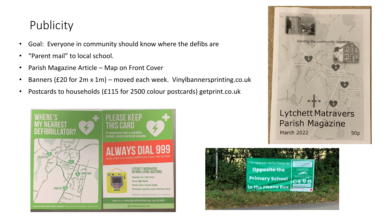### **Publicity**

- Goal: Everyone in community should know where the defibs are
- "Parent mail" to local school.
- Parish Magazine Article Map on Front Cover
- Banners (£20 for 2m x 1m) moved each week. Vinylbannersprinting.co.uk
- Postcards to households (£115 for 2500 colour postcards) getprint.co.uk





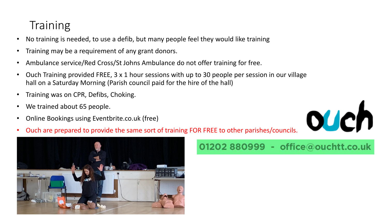## **Training**

- No training is needed, to use a defib, but many people feel they would like training
- Training may be a requirement of any grant donors.
- Ambulance service/Red Cross/St Johns Ambulance do not offer training for free.
- Ouch Training provided FREE, 3 x 1 hour sessions with up to 30 people per session in our village hall on a Saturday Morning (Parish council paid for the hire of the hall)
- Training was on CPR, Defibs, Choking.
- We trained about 65 people.
- Online Bookings using Eventbrite.co.uk (free)



• Ouch are prepared to provide the same sort of training FOR FREE to other parishes/councils.



### 01202 880999 - office@ouchtt.co.uk